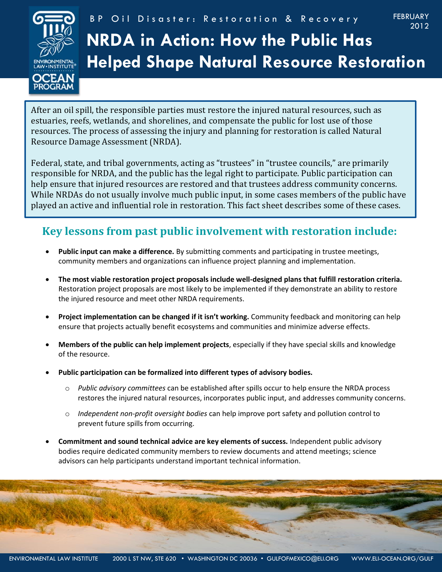

# **NRDA in Action: How the Public Has Helped Shape Natural Resource Restoration**

After an oil spill, the responsible parties must restore the injured natural resources, such as estuaries, reefs, wetlands, and shorelines, and compensate the public for lost use of those resources. The process of assessing the injury and planning for restoration is called Natural Resource Damage Assessment (NRDA).

Federal, state, and tribal governments, acting as "trustees" in "trustee councils," are primarily responsible for NRDA, and the public has the legal right to participate. Public participation can help ensure that injured resources are restored and that trustees address community concerns. While NRDAs do not usually involve much public input, in some cases members of the public have played an active and influential role in restoration. This fact sheet describes some of these cases.

## **Key lessons from past public involvement with restoration include:**

- **Public input can make a difference.** By submitting comments and participating in trustee meetings, community members and organizations can influence project planning and implementation.
- **The most viable restoration project proposals include well-designed plans that fulfill restoration criteria.**  Restoration project proposals are most likely to be implemented if they demonstrate an ability to restore the injured resource and meet other NRDA requirements.
- **Project implementation can be changed if it isn't working.** Community feedback and monitoring can help ensure that projects actually benefit ecosystems and communities and minimize adverse effects.
- **Members of the public can help implement projects**, especially if they have special skills and knowledge of the resource.
- **Public participation can be formalized into different types of advisory bodies.**
	- o *Public advisory committees* can be established after spills occur to help ensure the NRDA process restores the injured natural resources, incorporates public input, and addresses community concerns.
	- o *Independent non-profit oversight bodies* can help improve port safety and pollution control to prevent future spills from occurring.
- **Commitment and sound technical advice are key elements of success.** Independent public advisory bodies require dedicated community members to review documents and attend meetings; science advisors can help participants understand important technical information.

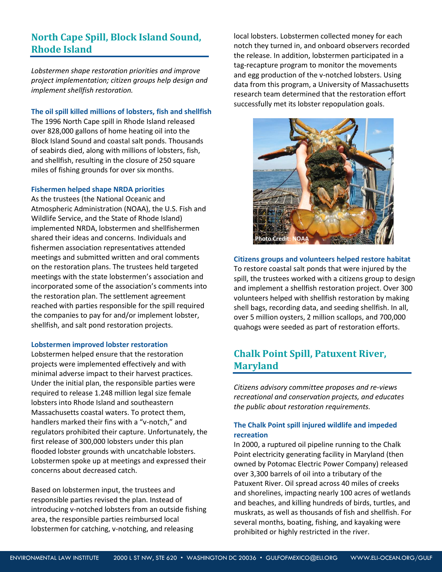## **North Cape Spill, Block Island Sound, Rhode Island**

*Lobstermen shape restoration priorities and improve project implementation; citizen groups help design and implement shellfish restoration.*

#### **The oil spill killed millions of lobsters, fish and shellfish**

The 1996 North Cape spill in Rhode Island released over 828,000 gallons of home heating oil into the Block Island Sound and coastal salt ponds. Thousands of seabirds died, along with millions of lobsters, fish, and shellfish, resulting in the closure of 250 square miles of fishing grounds for over six months.

#### **Fishermen helped shape NRDA priorities**

As the trustees (the National Oceanic and Atmospheric Administration (NOAA), the U.S. Fish and Wildlife Service, and the State of Rhode Island) implemented NRDA, lobstermen and shellfishermen shared their ideas and concerns. Individuals and fishermen association representatives attended meetings and submitted written and oral comments on the restoration plans. The trustees held targeted meetings with the state lobstermen's association and incorporated some of the association's comments into the restoration plan. The settlement agreement reached with parties responsible for the spill required the companies to pay for and/or implement lobster, shellfish, and salt pond restoration projects.

#### **Lobstermen improved lobster restoration**

Lobstermen helped ensure that the restoration projects were implemented effectively and with minimal adverse impact to their harvest practices. Under the initial plan, the responsible parties were required to release 1.248 million legal size female lobsters into Rhode Island and southeastern Massachusetts coastal waters. To protect them, handlers marked their fins with a "v-notch," and regulators prohibited their capture. Unfortunately, the first release of 300,000 lobsters under this plan flooded lobster grounds with uncatchable lobsters. Lobstermen spoke up at meetings and expressed their concerns about decreased catch.

Based on lobstermen input, the trustees and responsible parties revised the plan. Instead of introducing v-notched lobsters from an outside fishing area, the responsible parties reimbursed local lobstermen for catching, v-notching, and releasing

local lobsters. Lobstermen collected money for each notch they turned in, and onboard observers recorded the release. In addition, lobstermen participated in a tag-recapture program to monitor the movements and egg production of the v-notched lobsters. Using data from this program, a University of Massachusetts research team determined that the restoration effort successfully met its lobster repopulation goals.



**Citizens groups and volunteers helped restore habitat** To restore coastal salt ponds that were injured by the spill, the trustees worked with a citizens group to design and implement a shellfish restoration project. Over 300 volunteers helped with shellfish restoration by making shell bags, recording data, and seeding shellfish. In all, over 5 million oysters, 2 million scallops, and 700,000 quahogs were seeded as part of restoration efforts.

## **Chalk Point Spill, Patuxent River, Maryland**

*Citizens advisory committee proposes and re-views recreational and conservation projects, and educates the public about restoration requirements.*

#### **The Chalk Point spill injured wildlife and impeded recreation**

In 2000, a ruptured oil pipeline running to the Chalk Point electricity generating facility in Maryland (then owned by Potomac Electric Power Company) released over 3,300 barrels of oil into a tributary of the Patuxent River. Oil spread across 40 miles of creeks and shorelines, impacting nearly 100 acres of wetlands and beaches, and killing hundreds of birds, turtles, and muskrats, as well as thousands of fish and shellfish. For several months, boating, fishing, and kayaking were prohibited or highly restricted in the river.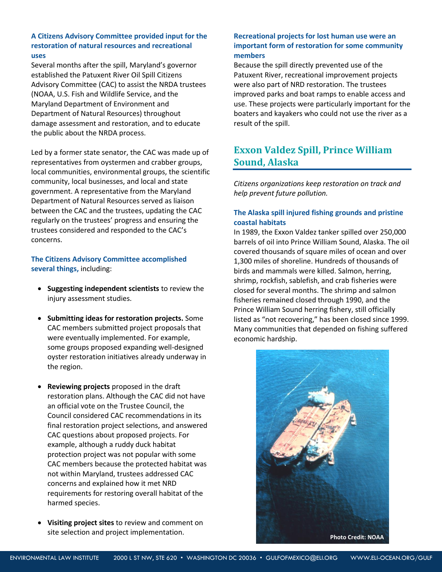#### **A Citizens Advisory Committee provided input for the restoration of natural resources and recreational uses**

Several months after the spill, Maryland's governor established the Patuxent River Oil Spill Citizens Advisory Committee (CAC) to assist the NRDA trustees (NOAA, U.S. Fish and Wildlife Service, and the Maryland Department of Environment and Department of Natural Resources) throughout damage assessment and restoration, and to educate the public about the NRDA process.

Led by a former state senator, the CAC was made up of representatives from oystermen and crabber groups, local communities, environmental groups, the scientific community, local businesses, and local and state government. A representative from the Maryland Department of Natural Resources served as liaison between the CAC and the trustees, updating the CAC regularly on the trustees' progress and ensuring the trustees considered and responded to the CAC's concerns.

**The Citizens Advisory Committee accomplished several things,** including:

- **Suggesting independent scientists** to review the injury assessment studies.
- **Submitting ideas for restoration projects.** Some CAC members submitted project proposals that were eventually implemented. For example, some groups proposed expanding well-designed oyster restoration initiatives already underway in the region.
- **Reviewing projects** proposed in the draft restoration plans. Although the CAC did not have an official vote on the Trustee Council, the Council considered CAC recommendations in its final restoration project selections, and answered CAC questions about proposed projects. For example, although a ruddy duck habitat protection project was not popular with some CAC members because the protected habitat was not within Maryland, trustees addressed CAC concerns and explained how it met NRD requirements for restoring overall habitat of the harmed species.
- **Visiting project sites** to review and comment on site selection and project implementation.

#### **Recreational projects for lost human use were an important form of restoration for some community members**

Because the spill directly prevented use of the Patuxent River, recreational improvement projects were also part of NRD restoration. The trustees improved parks and boat ramps to enable access and use. These projects were particularly important for the boaters and kayakers who could not use the river as a result of the spill.

## **Exxon Valdez Spill, Prince William Sound, Alaska**

*Citizens organizations keep restoration on track and help prevent future pollution.*

#### **The Alaska spill injured fishing grounds and pristine coastal habitats**

In 1989, the Exxon Valdez tanker spilled over 250,000 barrels of oil into Prince William Sound, Alaska. The oil covered thousands of square miles of ocean and over 1,300 miles of shoreline. Hundreds of thousands of birds and mammals were killed. Salmon, herring, shrimp, rockfish, sablefish, and crab fisheries were closed for several months. The shrimp and salmon fisheries remained closed through 1990, and the Prince William Sound herring fishery, still officially listed as "not recovering," has been closed since 1999. Many communities that depended on fishing suffered economic hardship.